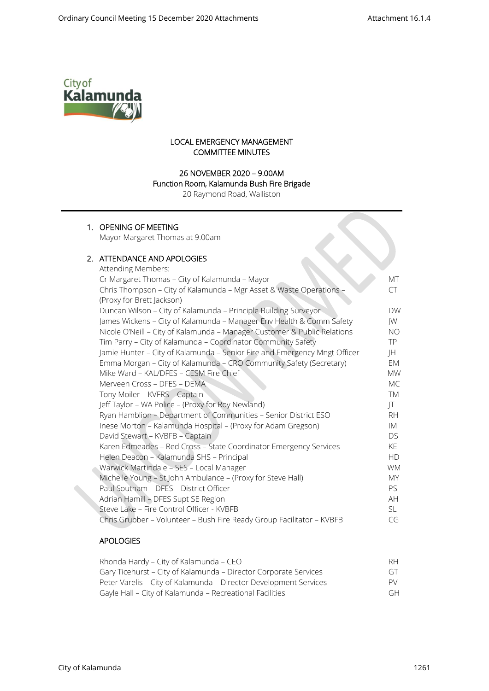$\infty$ 



# LOCAL EMERGENCY MANAGEMENT COMMITTEE MINUTES

# 26 NOVEMBER 2020 – 9.00AM

#### Function Room, Kalamunda Bush Fire Brigade

20 Raymond Road, Walliston

# 1. OPENING OF MEETING

Mayor Margaret Thomas at 9.00am

# 2. ATTENDANCE AND APOLOGIES

| Attending Members:                                                        |           |
|---------------------------------------------------------------------------|-----------|
| Cr Margaret Thomas - City of Kalamunda - Mayor                            | МT        |
| Chris Thompson - City of Kalamunda - Mgr Asset & Waste Operations -       | CT        |
| (Proxy for Brett Jackson)                                                 |           |
| Duncan Wilson - City of Kalamunda - Principle Building Surveyor           | <b>DW</b> |
| James Wickens - City of Kalamunda - Manager Env Health & Comm Safety      | JW        |
| Nicole O'Neill - City of Kalamunda - Manager Customer & Public Relations  | NO.       |
| Tim Parry - City of Kalamunda - Coordinator Community Safety              | TP.       |
| Jamie Hunter - City of Kalamunda - Senior Fire and Emergency Mngt Officer | JH        |
| Emma Morgan - City of Kalamunda - CRO Community Safety (Secretary)        | EM        |
| Mike Ward - KAL/DFES - CESM Fire Chief                                    | <b>MW</b> |
| Merveen Cross - DFES - DEMA                                               | МC        |
| Tony Moiler - KVFRS - Captain                                             | TM        |
| Jeff Taylor - WA Police - (Proxy for Roy Newland)                         | JT        |
| Ryan Hamblion - Department of Communities - Senior District ESO           | RH.       |
| Inese Morton - Kalamunda Hospital - (Proxy for Adam Gregson)              | IM        |
| David Stewart - KVBFB - Captain                                           | DS.       |
| Karen Edmeades - Red Cross - State Coordinator Emergency Services         | KE        |
| Helen Deacon - Kalamunda SHS - Principal                                  | <b>HD</b> |
| Warwick Martindale - SES - Local Manager                                  | <b>WM</b> |
| Michelle Young - St John Ambulance - (Proxy for Steve Hall)               | MY.       |
| Paul Southam - DFES - District Officer                                    | PS.       |
| Adrian Hamill - DFES Supt SE Region                                       | AH        |
| Steve Lake - Fire Control Officer - KVBFB                                 | SL.       |
| Chris Grubber - Volunteer - Bush Fire Ready Group Facilitator - KVBFB     | CG        |
|                                                                           |           |

### APOLOGIES

| Rhonda Hardy – City of Kalamunda – CEO                            | RH.                      |
|-------------------------------------------------------------------|--------------------------|
| Gary Ticehurst – City of Kalamunda – Director Corporate Services  | $\overline{(\neg \top)}$ |
| Peter Varelis - City of Kalamunda - Director Development Services | PV.                      |
| Gayle Hall - City of Kalamunda - Recreational Facilities          | GН                       |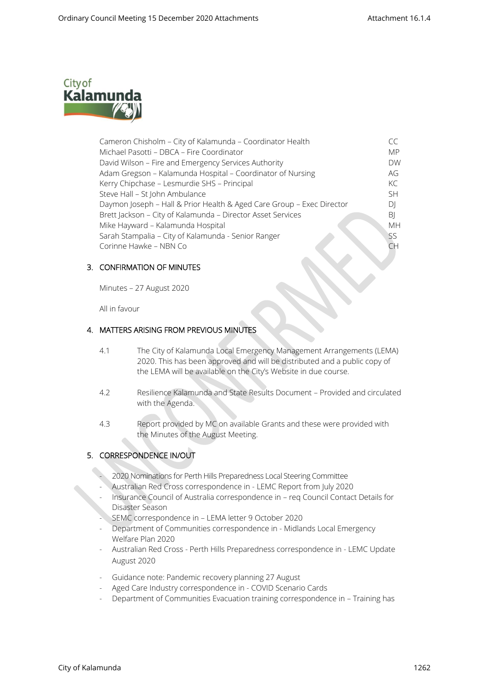

| Cameron Chisholm - City of Kalamunda - Coordinator Health             |           |
|-----------------------------------------------------------------------|-----------|
| Michael Pasotti - DBCA - Fire Coordinator                             | <b>MP</b> |
| David Wilson - Fire and Emergency Services Authority                  | <b>DW</b> |
| Adam Gregson - Kalamunda Hospital - Coordinator of Nursing            | AG        |
| Kerry Chipchase - Lesmurdie SHS - Principal                           | KC        |
| Steve Hall - St John Ambulance                                        | .SH       |
| Daymon Joseph - Hall & Prior Health & Aged Care Group - Exec Director | DI        |
| Brett Jackson - City of Kalamunda - Director Asset Services           | BI        |
| Mike Hayward - Kalamunda Hospital                                     | <b>MH</b> |
| Sarah Stampalia - City of Kalamunda - Senior Ranger                   | SS        |
| Corinne Hawke - NBN Co                                                | CΗ        |
|                                                                       |           |

## 3. CONFIRMATION OF MINUTES

Minutes – 27 August 2020

All in favour

## 4. MATTERS ARISING FROM PREVIOUS MINUTES

- 4.1 The City of Kalamunda Local Emergency Management Arrangements (LEMA) 2020. This has been approved and will be distributed and a public copy of the LEMA will be available on the City's Website in due course.
- 4.2 Resilience Kalamunda and State Results Document Provided and circulated with the Agenda.
- 4.3 Report provided by MC on available Grants and these were provided with the Minutes of the August Meeting.

# 5. CORRESPONDENCE IN/OUT

- 2020 Nominations for Perth Hills Preparedness Local Steering Committee
- Australian Red Cross correspondence in LEMC Report from July 2020
- Insurance Council of Australia correspondence in req Council Contact Details for Disaster Season
- SEMC correspondence in LEMA letter 9 October 2020
- Department of Communities correspondence in Midlands Local Emergency Welfare Plan 2020
- Australian Red Cross Perth Hills Preparedness correspondence in LEMC Update August 2020
- Guidance note: Pandemic recovery planning 27 August
- Aged Care Industry correspondence in COVID Scenario Cards
- Department of Communities Evacuation training correspondence in Training has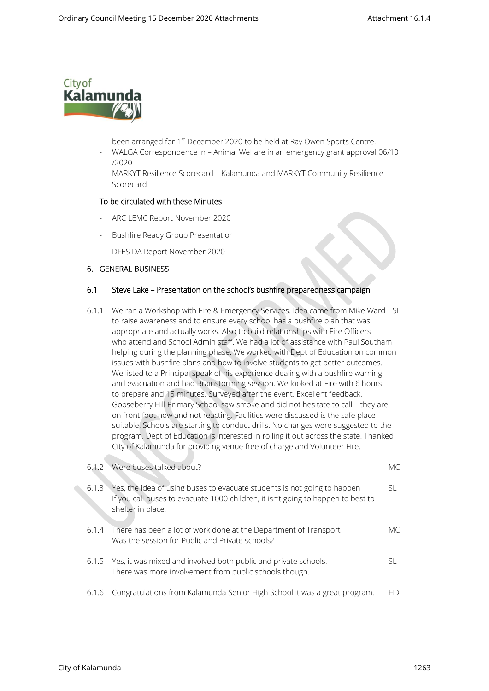

- been arranged for 1<sup>st</sup> December 2020 to be held at Ray Owen Sports Centre.
- WALGA Correspondence in Animal Welfare in an emergency grant approval 06/10 /2020
- MARKYT Resilience Scorecard Kalamunda and MARKYT Community Resilience Scorecard

#### To be circulated with these Minutes

- ARC LEMC Report November 2020
- Bushfire Ready Group Presentation
- DFES DA Report November 2020

### 6. GENERAL BUSINESS

#### 6.1 Steve Lake – Presentation on the school's bushfire preparedness campaign

6.1.1 We ran a Workshop with Fire & Emergency Services. Idea came from Mike Ward SL to raise awareness and to ensure every school has a bushfire plan that was appropriate and actually works. Also to build relationships with Fire Officers who attend and School Admin staff. We had a lot of assistance with Paul Southam helping during the planning phase. We worked with Dept of Education on common issues with bushfire plans and how to involve students to get better outcomes. We listed to a Principal speak of his experience dealing with a bushfire warning and evacuation and had Brainstorming session. We looked at Fire with 6 hours to prepare and 15 minutes. Surveyed after the event. Excellent feedback. Gooseberry Hill Primary School saw smoke and did not hesitate to call – they are on front foot now and not reacting. Facilities were discussed is the safe place suitable. Schools are starting to conduct drills. No changes were suggested to the program. Dept of Education is interested in rolling it out across the state. Thanked City of Kalamunda for providing venue free of charge and Volunteer Fire.

|       | 6.1.2 Were buses talked about?                                                                                                                                                    | МC  |
|-------|-----------------------------------------------------------------------------------------------------------------------------------------------------------------------------------|-----|
| 6.1.3 | Yes, the idea of using buses to evacuate students is not going to happen<br>If you call buses to evacuate 1000 children, it isn't going to happen to best to<br>shelter in place. | SL. |
|       | 6.1.4 There has been a lot of work done at the Department of Transport<br>Was the session for Public and Private schools?                                                         | MC. |
|       | 6.1.5 Yes, it was mixed and involved both public and private schools.<br>There was more involvement from public schools though.                                                   | SL  |
| 6.1.6 | Congratulations from Kalamunda Senior High School it was a great program.                                                                                                         | НD  |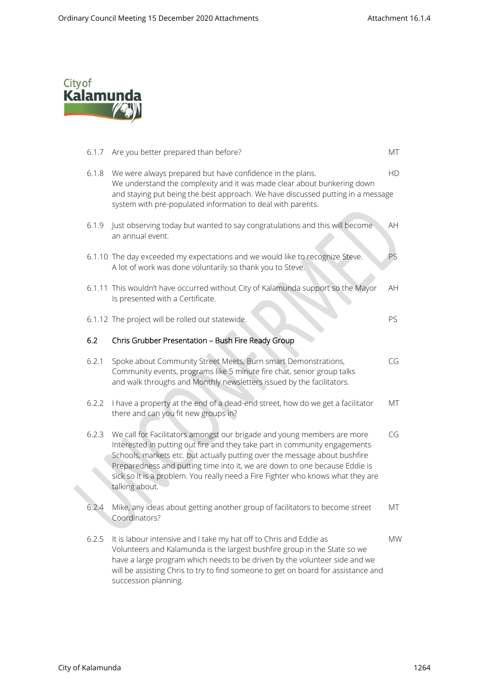

| 6.1.7 | Are you better prepared than before?                                                                                                                                                                                                                                                                                                                                                                                   | МT        |
|-------|------------------------------------------------------------------------------------------------------------------------------------------------------------------------------------------------------------------------------------------------------------------------------------------------------------------------------------------------------------------------------------------------------------------------|-----------|
| 6.1.8 | We were always prepared but have confidence in the plans.<br>We understand the complexity and it was made clear about bunkering down<br>and staying put being the best approach. We have discussed putting in a message<br>system with pre-populated information to deal with parents.                                                                                                                                 | HD        |
| 6.1.9 | Just observing today but wanted to say congratulations and this will become<br>an annual event.                                                                                                                                                                                                                                                                                                                        | AH        |
|       | 6.1.10 The day exceeded my expectations and we would like to recognize Steve.<br>A lot of work was done voluntarily so thank you to Steve.                                                                                                                                                                                                                                                                             | PS        |
|       | 6.1.11 This wouldn't have occurred without City of Kalamunda support so the Mayor<br>Is presented with a Certificate.                                                                                                                                                                                                                                                                                                  | AH        |
|       | 6.1.12 The project will be rolled out statewide.                                                                                                                                                                                                                                                                                                                                                                       | PS        |
| 6.2   | Chris Grubber Presentation - Bush Fire Ready Group                                                                                                                                                                                                                                                                                                                                                                     |           |
| 6.2.1 | Spoke about Community Street Meets, Burn smart Demonstrations,<br>Community events, programs like 5 minute fire chat, senior group talks<br>and walk throughs and Monthly newsletters issued by the facilitators.                                                                                                                                                                                                      | CG        |
| 6.2.2 | I have a property at the end of a dead-end street, how do we get a facilitator<br>there and can you fit new groups in?                                                                                                                                                                                                                                                                                                 | МT        |
| 6.2.3 | We call for Facilitators amongst our brigade and young members are more<br>Interested in putting out fire and they take part in community engagements<br>Schools, markets etc. but actually putting over the message about bushfire<br>Preparedness and putting time into it, we are down to one because Eddie is<br>sick so it is a problem. You really need a Fire Fighter who knows what they are<br>talking about. | CG        |
| 6.2.4 | Mike, any ideas about getting another group of facilitators to become street<br>Coordinators?                                                                                                                                                                                                                                                                                                                          | МT        |
| 6.2.5 | It is labour intensive and I take my hat off to Chris and Eddie as<br>Volunteers and Kalamunda is the largest bushfire group in the State so we<br>have a large program which needs to be driven by the volunteer side and we<br>will be assisting Chris to try to find someone to get on board for assistance and<br>succession planning.                                                                             | <b>MW</b> |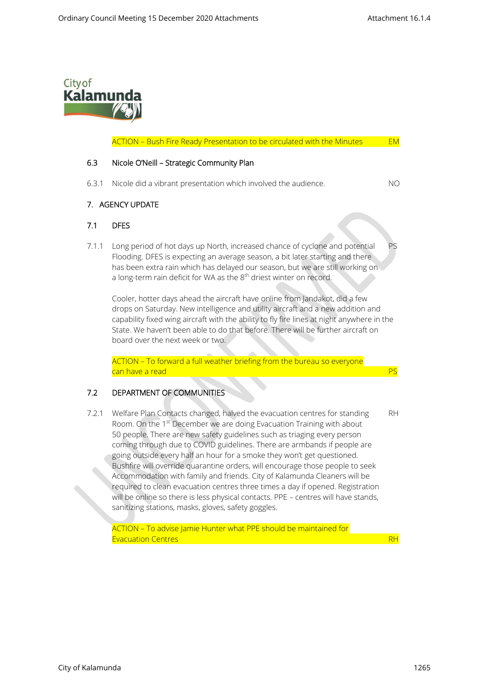

#### ACTION - Bush Fire Ready Presentation to be circulated with the Minutes EM

#### 6.3 Nicole O'Neill – Strategic Community Plan

6.3.1 Nicole did a vibrant presentation which involved the audience. NO

### 7. AGENCY UPDATE

#### 7.1 DFES

7.1.1 Long period of hot days up North, increased chance of cyclone and potential PS Flooding. DFES is expecting an average season, a bit later starting and there has been extra rain which has delayed our season, but we are still working on a long-term rain deficit for WA as the 8<sup>th</sup> driest winter on record.

Cooler, hotter days ahead the aircraft have online from Jandakot, did a few drops on Saturday. New intelligence and utility aircraft and a new addition and capability fixed wing aircraft with the ability to fly fire lines at night anywhere in the State. We haven't been able to do that before. There will be further aircraft on board over the next week or two.

ACTION – To forward a full weather briefing from the bureau so everyone can have a read

### 7.2 DEPARTMENT OF COMMUNITIES

7.2.1 Welfare Plan Contacts changed, halved the evacuation centres for standing RH Room. On the 1<sup>st</sup> December we are doing Evacuation Training with about 50 people. There are new safety guidelines such as triaging every person coming through due to COVID guidelines. There are armbands if people are going outside every half an hour for a smoke they won't get questioned. Bushfire will override quarantine orders, will encourage those people to seek Accommodation with family and friends. City of Kalamunda Cleaners will be required to clean evacuation centres three times a day if opened. Registration will be online so there is less physical contacts. PPE – centres will have stands, sanitizing stations, masks, gloves, safety goggles.

ACTION – To advise Jamie Hunter what PPE should be maintained for Evacuation Centres **RH**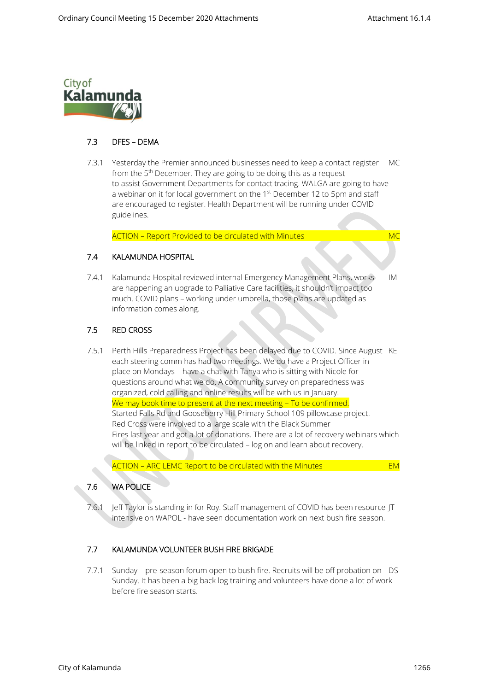

# 7.3 DFES – DEMA

 7.3.1 Yesterday the Premier announced businesses need to keep a contact register MC from the 5<sup>th</sup> December. They are going to be doing this as a request to assist Government Departments for contact tracing. WALGA are going to have a webinar on it for local government on the  $1<sup>st</sup>$  December 12 to 5pm and staff are encouraged to register. Health Department will be running under COVID guidelines.

ACTION - Report Provided to be circulated with Minutes MC

# 7.4 KALAMUNDA HOSPITAL

7.4.1 Kalamunda Hospital reviewed internal Emergency Management Plans, works IM are happening an upgrade to Palliative Care facilities, it shouldn't impact too much. COVID plans – working under umbrella, those plans are updated as information comes along.

## 7.5 RED CROSS

 7.5.1 Perth Hills Preparedness Project has been delayed due to COVID. Since August KE each steering comm has had two meetings. We do have a Project Officer in place on Mondays – have a chat with Tanya who is sitting with Nicole for questions around what we do. A community survey on preparedness was organized, cold calling and online results will be with us in January. We may book time to present at the next meeting - To be confirmed. Started Falls Rd and Gooseberry Hill Primary School 109 pillowcase project. Red Cross were involved to a large scale with the Black Summer Fires last year and got a lot of donations. There are a lot of recovery webinars which will be linked in report to be circulated – log on and learn about recovery.

ACTION - ARC LEMC Report to be circulated with the Minutes **EM** 

# 7.6 WA POLICE

7.6.1 Jeff Taylor is standing in for Roy. Staff management of COVID has been resource JT intensive on WAPOL - have seen documentation work on next bush fire season.

# 7.7 KALAMUNDA VOLUNTEER BUSH FIRE BRIGADE

7.7.1 Sunday – pre-season forum open to bush fire. Recruits will be off probation on DS Sunday. It has been a big back log training and volunteers have done a lot of work before fire season starts.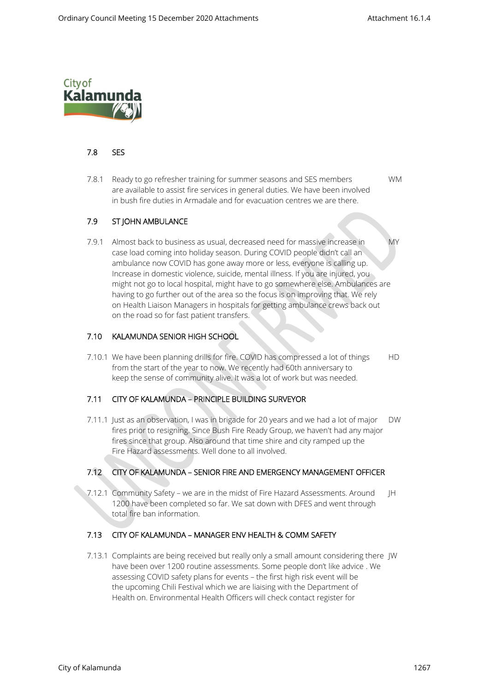

### 7.8 SES

 7.8.1 Ready to go refresher training for summer seasons and SES members WM are available to assist fire services in general duties. We have been involved in bush fire duties in Armadale and for evacuation centres we are there.

## 7.9 ST JOHN AMBULANCE

7.9.1 Almost back to business as usual, decreased need for massive increase in MY case load coming into holiday season. During COVID people didn't call an ambulance now COVID has gone away more or less, everyone is calling up. Increase in domestic violence, suicide, mental illness. If you are injured, you might not go to local hospital, might have to go somewhere else. Ambulances are having to go further out of the area so the focus is on improving that. We rely on Health Liaison Managers in hospitals for getting ambulance crews back out on the road so for fast patient transfers.

## 7.10 KALAMUNDA SENIOR HIGH SCHOOL

7.10.1 We have been planning drills for fire. COVID has compressed a lot of things HD from the start of the year to now. We recently had 60th anniversary to keep the sense of community alive. It was a lot of work but was needed.

### 7.11 CITY OF KALAMUNDA – PRINCIPLE BUILDING SURVEYOR

 7.11.1 Just as an observation, I was in brigade for 20 years and we had a lot of major DW fires prior to resigning. Since Bush Fire Ready Group, we haven't had any major fires since that group. Also around that time shire and city ramped up the Fire Hazard assessments. Well done to all involved.

# 7.12 CITY OF KALAMUNDA – SENIOR FIRE AND EMERGENCY MANAGEMENT OFFICER

7.12.1 Community Safety – we are in the midst of Fire Hazard Assessments. Around JH 1200 have been completed so far. We sat down with DFES and went through total fire ban information.

### 7.13 CITY OF KALAMUNDA – MANAGER ENV HEALTH & COMM SAFETY

 7.13.1 Complaints are being received but really only a small amount considering there JW have been over 1200 routine assessments. Some people don't like advice . We assessing COVID safety plans for events – the first high risk event will be the upcoming Chili Festival which we are liaising with the Department of Health on. Environmental Health Officers will check contact register for